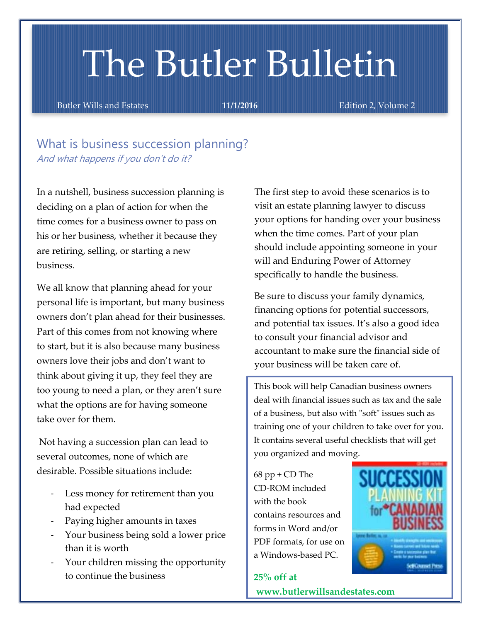# The Butler Bulletin

Butler Wills and Estates **11/1/2016** Edition 2, Volume 2

What is business succession planning? And what happens if you don't do it?

In a nutshell, business succession planning is deciding on a plan of action for when the time comes for a business owner to pass on his or her business, whether it because they are retiring, selling, or starting a new business.

We all know that planning ahead for your personal life is important, but many business owners don't plan ahead for their businesses. Part of this comes from not knowing where to start, but it is also because many business owners love their jobs and don't want to think about giving it up, they feel they are too young to need a plan, or they aren't sure what the options are for having someone take over for them.

Not having a succession plan can lead to several outcomes, none of which are desirable. Possible situations include:

- Less money for retirement than you had expected
- Paying higher amounts in taxes
- Your business being sold a lower price than it is worth
- Your children missing the opportunity to continue the business

The first step to avoid these scenarios is to visit an estate planning lawyer to discuss your options for handing over your business when the time comes. Part of your plan should include appointing someone in your will and Enduring Power of Attorney specifically to handle the business.

Be sure to discuss your family dynamics, financing options for potential successors, and potential tax issues. It's also a good idea to consult your financial advisor and accountant to make sure the financial side of your business will be taken care of.

This book will help Canadian business owners deal with financial issues such as tax and the sale of a business, but also with "soft" issues such as training one of your children to take over for you. It contains several useful checklists that will get you organized and moving.

68 pp + CD The CD-ROM included with the book contains resources and forms in Word and/or PDF formats, for use on a Windows-based PC.



**25% off at [www.butlerwillsandestates.com](http://www.butlerwillsandestates.com/)**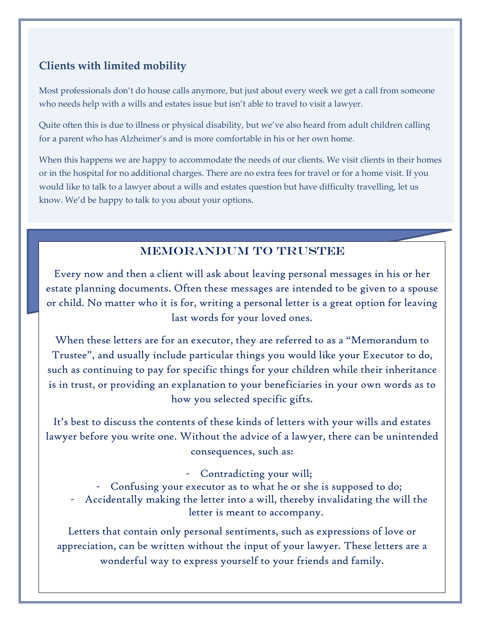# **Clients with limited mobility**

Most professionals don't do house calls anymore, but just about every week we get a call from someone who needs help with a wills and estates issue but isn't able to travel to visit a lawyer.

Quite often this is due to illness or physical disability, but we've also heard from adult children calling for a parent who has Alzheimer's and is more comfortable in his or her own home.

When this happens we are happy to accommodate the needs of our clients. We visit clients in their homes or in the hospital for no additional charges. There are no extra fees for travel or for a home visit. If you would like to talk to a lawyer about a wills and estates question but have difficulty travelling, let us know. We'd be happy to talk to you about your options.

# MEMORANDUM TO TRUSTEE

Every now and then a client will ask about leaving personal messages in his or her estate planning documents. Often these messages are intended to be given to a spouse or child. No matter who it is for, writing a personal letter is a great option for leaving last words for your loved ones.

When these letters are for an executor, they are referred to as a "Memorandum to Trustee", and usually include particular things you would like your Executor to do, such as continuing to pay for specific things for your children while their inheritance is in trust, or providing an explanation to your beneficiaries in your own words as to how you selected specific gifts.

It's best to discuss the contents of these kinds of letters with your wills and estates lawyer before you write one. Without the advice of a lawyer, there can be unintended consequences, such as:

- Contradicting your will;
- Confusing your executor as to what he or she is supposed to do; - Accidentally making the letter into a will, thereby invalidating the will the letter is meant to accompany.

Letters that contain only personal sentiments, such as expressions of love or appreciation, can be written without the input of your lawyer. These letters are a wonderful way to express yourself to your friends and family.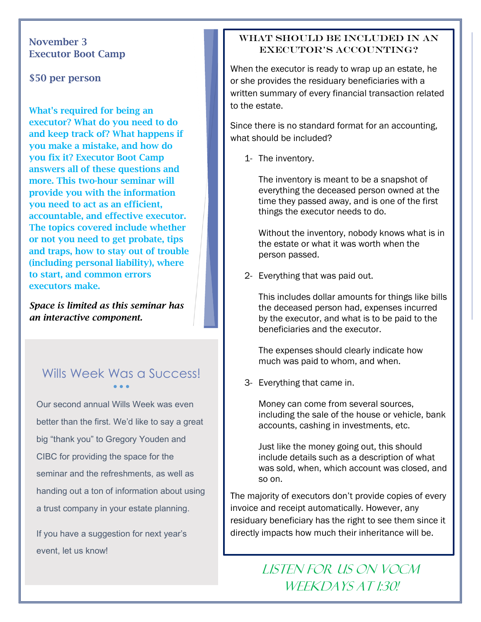#### November 3 Executor Boot Camp

\$50 per person

What's required for being an executor? What do you need to do and keep track of? What happens if you make a mistake, and how do you fix it? Executor Boot Camp answers all of these questions and more. This two-hour seminar will provide you with the information you need to act as an efficient, accountable, and effective executor. The topics covered include whether or not you need to get probate, tips and traps, how to stay out of trouble (including personal liability), where to start, and common errors executors make.

*Space is limited as this seminar has an interactive component.*

#### Wills Week Was a Success!  $\bullet$   $\bullet$   $\bullet$

Our second annual Wills Week was even better than the first. We'd like to say a great big "thank you" to Gregory Youden and CIBC for providing the space for the seminar and the refreshments, as well as handing out a ton of information about using a trust company in your estate planning.

If you have a suggestion for next year's event, let us know!

#### WHAT SHOULD BE INCLUDED IN AN executor's accounting?

When the executor is ready to wrap up an estate, he or she provides the residuary beneficiaries with a written summary of every financial transaction related to the estate.

Since there is no standard format for an accounting, what should be included?

1- The inventory.

The inventory is meant to be a snapshot of everything the deceased person owned at the time they passed away, and is one of the first things the executor needs to do.

Without the inventory, nobody knows what is in the estate or what it was worth when the person passed.

2- Everything that was paid out.

This includes dollar amounts for things like bills the deceased person had, expenses incurred by the executor, and what is to be paid to the beneficiaries and the executor.

The expenses should clearly indicate how much was paid to whom, and when.

3- Everything that came in.

Money can come from several sources, including the sale of the house or vehicle, bank accounts, cashing in investments, etc.

Just like the money going out, this should include details such as a description of what was sold, when, which account was closed, and so on.

The majority of executors don't provide copies of every invoice and receipt automatically. However, any residuary beneficiary has the right to see them since it directly impacts how much their inheritance will be.

# LISTEN FOR US ON VOCM WEEKDAYS AT 1:30!